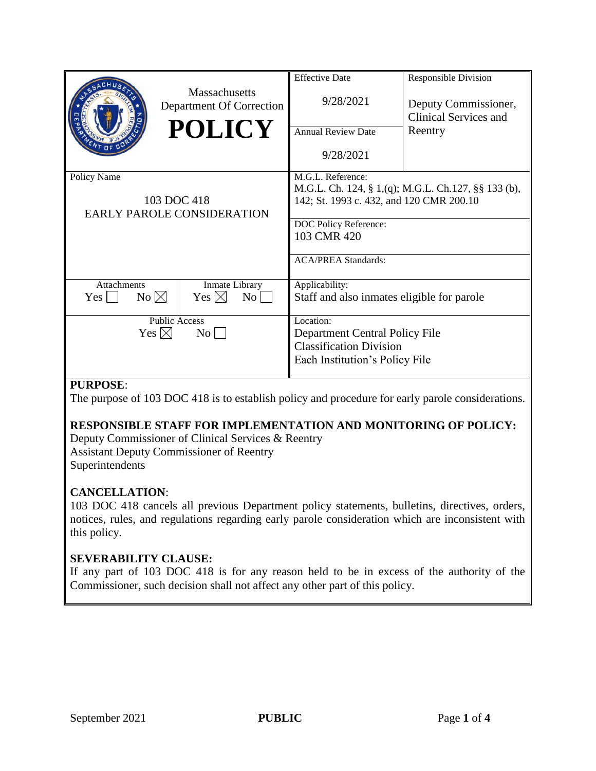|                                                                                                                                                                  | <b>Massachusetts</b><br>Department Of Correction<br><b>POLICY</b> | <b>Effective Date</b><br>9/28/2021<br><b>Annual Review Date</b><br>9/28/2021                                                                                                               | <b>Responsible Division</b><br>Deputy Commissioner,<br><b>Clinical Services and</b><br>Reentry |
|------------------------------------------------------------------------------------------------------------------------------------------------------------------|-------------------------------------------------------------------|--------------------------------------------------------------------------------------------------------------------------------------------------------------------------------------------|------------------------------------------------------------------------------------------------|
| Policy Name<br>103 DOC 418<br><b>EARLY PAROLE CONSIDERATION</b>                                                                                                  |                                                                   | M.G.L. Reference:<br>M.G.L. Ch. 124, § 1,(q); M.G.L. Ch.127, §§ 133 (b),<br>142; St. 1993 c. 432, and 120 CMR 200.10<br>DOC Policy Reference:<br>103 CMR 420<br><b>ACA/PREA Standards:</b> |                                                                                                |
| Inmate Library<br><b>Attachments</b><br>$No \boxtimes$<br>Yes $\boxtimes$<br>$\overline{N_{O}}$<br>Yes  <br><b>Public Access</b><br>Yes $\boxtimes$<br>$\rm{No}$ |                                                                   | Applicability:<br>Staff and also inmates eligible for parole<br>Location:<br>Department Central Policy File<br><b>Classification Division</b><br>Each Institution's Policy File            |                                                                                                |

# **PURPOSE**:

The purpose of 103 DOC 418 is to establish policy and procedure for early parole considerations.

# **RESPONSIBLE STAFF FOR IMPLEMENTATION AND MONITORING OF POLICY:**

Deputy Commissioner of Clinical Services & Reentry Assistant Deputy Commissioner of Reentry Superintendents

# **CANCELLATION**:

103 DOC 418 cancels all previous Department policy statements, bulletins, directives, orders, notices, rules, and regulations regarding early parole consideration which are inconsistent with this policy.

# **SEVERABILITY CLAUSE:**

If any part of 103 DOC 418 is for any reason held to be in excess of the authority of the Commissioner, such decision shall not affect any other part of this policy.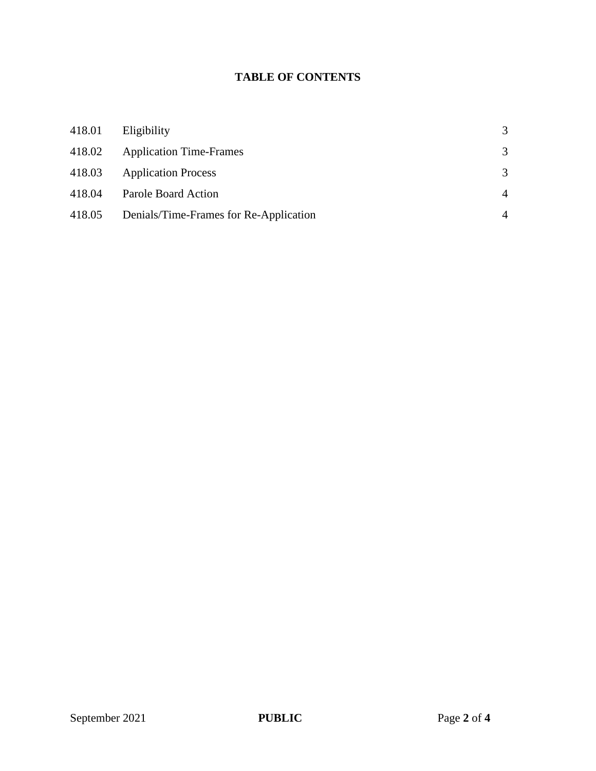# **TABLE OF CONTENTS**

| 418.01 | Eligibility                            | 3 |
|--------|----------------------------------------|---|
| 418.02 | <b>Application Time-Frames</b>         | 3 |
| 418.03 | <b>Application Process</b>             | 3 |
| 418.04 | Parole Board Action                    | 4 |
| 418.05 | Denials/Time-Frames for Re-Application | 4 |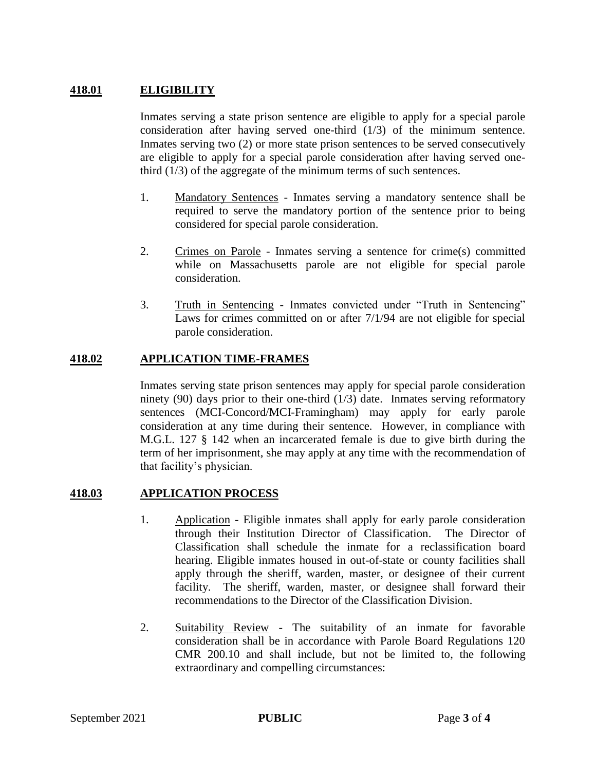# **418.01 ELIGIBILITY**

Inmates serving a state prison sentence are eligible to apply for a special parole consideration after having served one-third (1/3) of the minimum sentence. Inmates serving two (2) or more state prison sentences to be served consecutively are eligible to apply for a special parole consideration after having served onethird (1/3) of the aggregate of the minimum terms of such sentences.

- 1. Mandatory Sentences Inmates serving a mandatory sentence shall be required to serve the mandatory portion of the sentence prior to being considered for special parole consideration.
- 2. Crimes on Parole Inmates serving a sentence for crime(s) committed while on Massachusetts parole are not eligible for special parole consideration.
- 3. Truth in Sentencing Inmates convicted under "Truth in Sentencing" Laws for crimes committed on or after 7/1/94 are not eligible for special parole consideration.

# **418.02 APPLICATION TIME-FRAMES**

Inmates serving state prison sentences may apply for special parole consideration ninety (90) days prior to their one-third (1/3) date. Inmates serving reformatory sentences (MCI-Concord/MCI-Framingham) may apply for early parole consideration at any time during their sentence. However, in compliance with M.G.L. 127 § 142 when an incarcerated female is due to give birth during the term of her imprisonment, she may apply at any time with the recommendation of that facility's physician.

#### **418.03 APPLICATION PROCESS**

- 1. Application Eligible inmates shall apply for early parole consideration through their Institution Director of Classification. The Director of Classification shall schedule the inmate for a reclassification board hearing. Eligible inmates housed in out-of-state or county facilities shall apply through the sheriff, warden, master, or designee of their current facility. The sheriff, warden, master, or designee shall forward their recommendations to the Director of the Classification Division.
- 2. Suitability Review The suitability of an inmate for favorable consideration shall be in accordance with Parole Board Regulations 120 CMR 200.10 and shall include, but not be limited to, the following extraordinary and compelling circumstances: